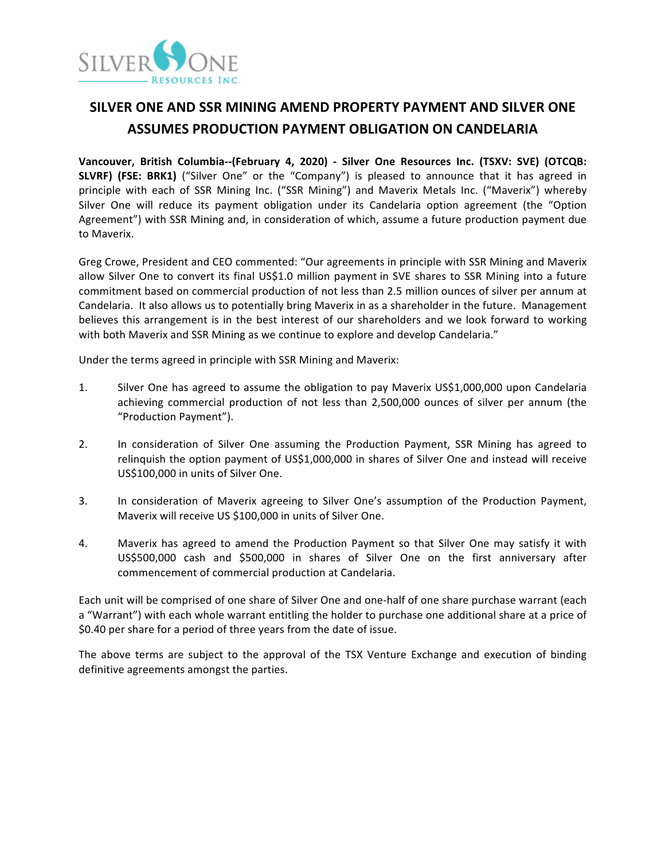

# **SILVER ONE AND SSR MINING AMEND PROPERTY PAYMENT AND SILVER ONE ASSUMES PRODUCTION PAYMENT OBLIGATION ON CANDELARIA**

**Vancouver, British Columbia--(February 4, 2020) - Silver One Resources Inc. (TSXV: SVE) (OTCQB: SLVRF)** (FSE: BRK1) ("Silver One" or the "Company") is pleased to announce that it has agreed in principle with each of SSR Mining Inc. ("SSR Mining") and Maverix Metals Inc. ("Maverix") whereby Silver One will reduce its payment obligation under its Candelaria option agreement (the "Option Agreement") with SSR Mining and, in consideration of which, assume a future production payment due to Maverix.

Greg Crowe, President and CEO commented: "Our agreements in principle with SSR Mining and Maverix allow Silver One to convert its final US\$1.0 million payment in SVE shares to SSR Mining into a future commitment based on commercial production of not less than 2.5 million ounces of silver per annum at Candelaria. It also allows us to potentially bring Maverix in as a shareholder in the future. Management believes this arrangement is in the best interest of our shareholders and we look forward to working with both Maverix and SSR Mining as we continue to explore and develop Candelaria."

Under the terms agreed in principle with SSR Mining and Maverix:

- 1. Silver One has agreed to assume the obligation to pay Maverix US\$1,000,000 upon Candelaria achieving commercial production of not less than 2,500,000 ounces of silver per annum (the "Production Payment").
- 2. In consideration of Silver One assuming the Production Payment, SSR Mining has agreed to relinquish the option payment of US\$1,000,000 in shares of Silver One and instead will receive US\$100,000 in units of Silver One.
- 3. In consideration of Maverix agreeing to Silver One's assumption of the Production Payment, Maverix will receive US \$100,000 in units of Silver One.
- 4. Maverix has agreed to amend the Production Payment so that Silver One may satisfy it with US\$500,000 cash and \$500,000 in shares of Silver One on the first anniversary after commencement of commercial production at Candelaria.

Each unit will be comprised of one share of Silver One and one-half of one share purchase warrant (each a "Warrant") with each whole warrant entitling the holder to purchase one additional share at a price of \$0.40 per share for a period of three years from the date of issue.

The above terms are subject to the approval of the TSX Venture Exchange and execution of binding definitive agreements amongst the parties.